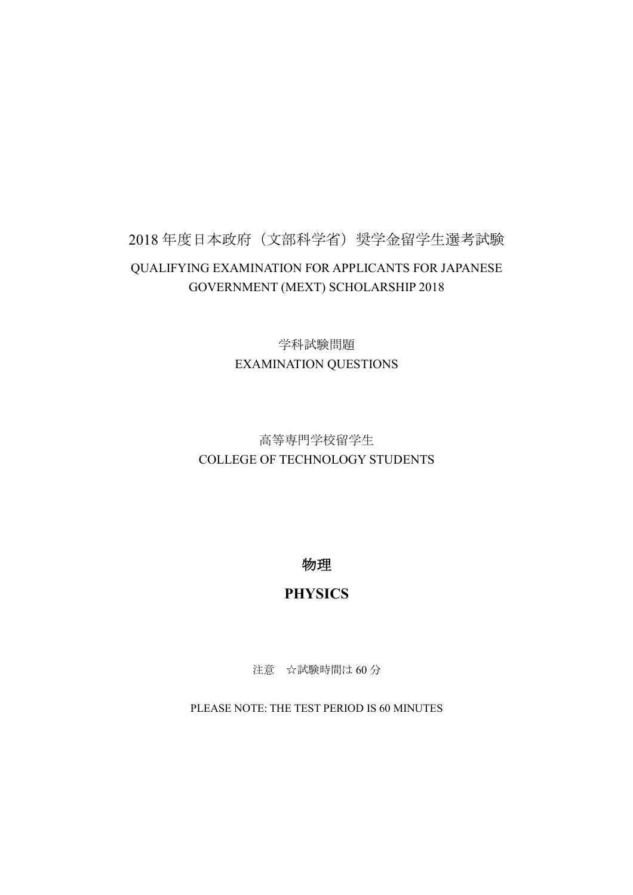## 2018年度日本政府(文部科学省)奨学金留学生選考試験 QUALIFYING EXAMINATION FOR APPLICANTS FOR JAPANESE GOVERNMENT (MEXT) SCHOLARSHIP 2018

学科試験問題 EXAMINATION QUESTIONS

## 高等専門学校留学生 COLLEGE OF TECHNOLOGY STUDENTS

物理

## **PHYSICS**

注意 ☆試験時間は60分

PLEASE NOTE: THE TEST PERIOD IS 60 MINUTES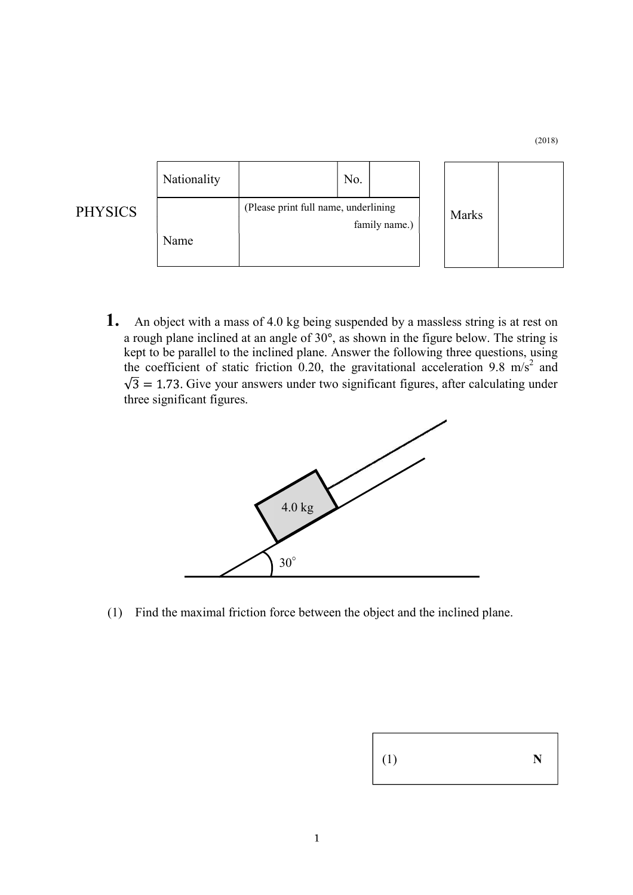| Nationality |                                                       | No. |       |  |  |
|-------------|-------------------------------------------------------|-----|-------|--|--|
| Name        | (Please print full name, underlining<br>family name.) |     | Marks |  |  |

PHYSICS

(2018)

**1.** An object with a mass of 4.0 kg being suspended by a massless string is at rest on a rough plane inclined at an angle of  $30^\circ$ , as shown in the figure below. The string is kept to be parallel to the inclined plane. Answer the following three questions, using the coefficient of static friction 0.20, the gravitational acceleration 9.8 m/s<sup>2</sup> and  $\sqrt{3}$  = 1.73. Give your answers under two significant figures, after calculating under three significant figures.



(1) Find the maximal friction force between the object and the inclined plane.

| $\Big $ (1) | N |
|-------------|---|
|-------------|---|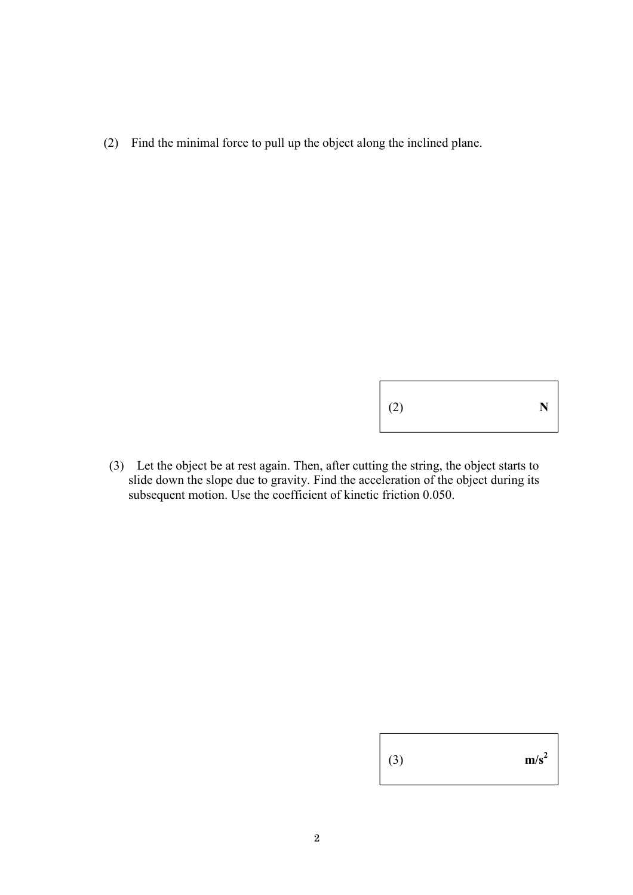(2) Find the minimal force to pull up the object along the inclined plane.

(2) **N**

(3) Let the object be at rest again. Then, after cutting the string, the object starts to slide down the slope due to gravity. Find the acceleration of the object during its subsequent motion. Use the coefficient of kinetic friction 0.050.

| $\mid$ (3) | $m/s^2$ |
|------------|---------|
|------------|---------|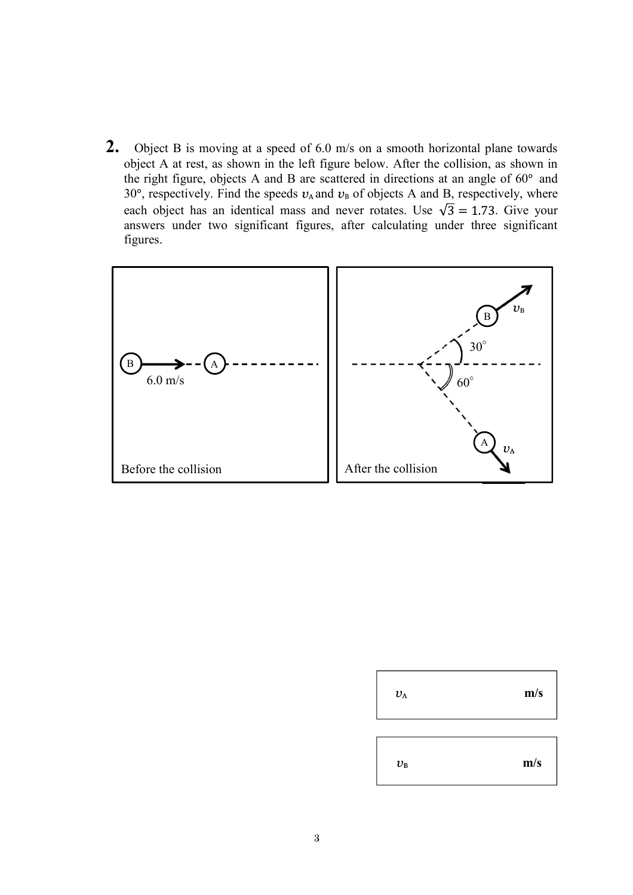**2.** Object B is moving at a speed of 6.0 m/s on a smooth horizontal plane towards object A at rest, as shown in the left figure below. After the collision, as shown in the right figure, objects A and B are scattered in directions at an angle of  $60^\circ$  and 30 $^{\circ}$ , respectively. Find the speeds  $v_A$  and  $v_B$  of objects A and B, respectively, where each object has an identical mass and never rotates. Use  $\sqrt{3} = 1.73$ . Give your answers under two significant figures, after calculating under three significant figures.



| $v_{\rm A}$ | m/s |
|-------------|-----|
| $v_{\rm B}$ | m/s |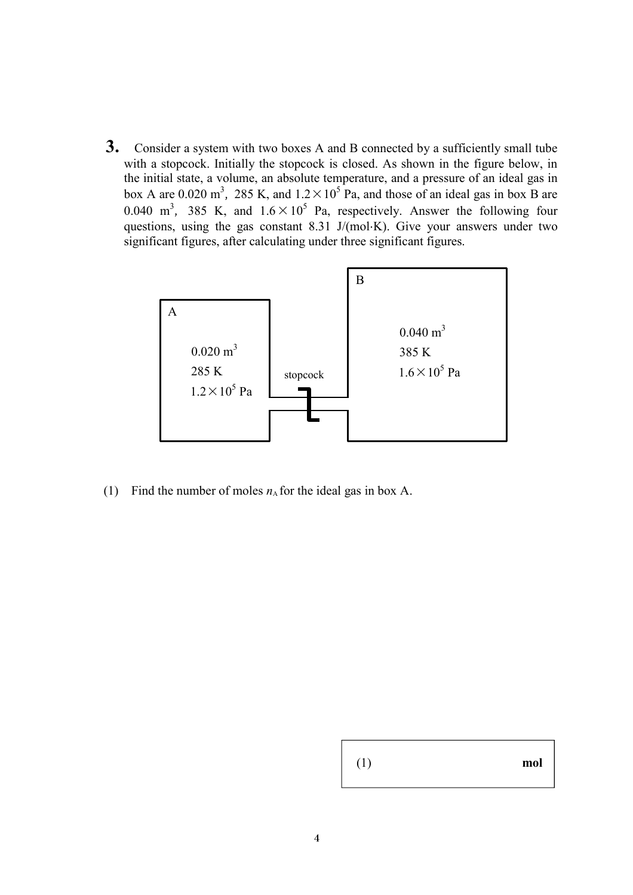**3.** Consider a system with two boxes A and B connected by a sufficiently small tube with a stopcock. Initially the stopcock is closed. As shown in the figure below, in the initial state, a volume, an absolute temperature, and a pressure of an ideal gas in box A are 0.020 m<sup>3</sup>, 285 K, and  $1.2 \times 10^5$  Pa, and those of an ideal gas in box B are 0.040 m<sup>3</sup>, 385 K, and  $1.6 \times 10^5$  Pa, respectively. Answer the following four questions, using the gas constant 8.31 J/(mol $\cdot$ K). Give your answers under two significant figures, after calculating under three significant figures.



(1) Find the number of moles  $n_A$  for the ideal gas in box A.

| (1) | mol |
|-----|-----|
|-----|-----|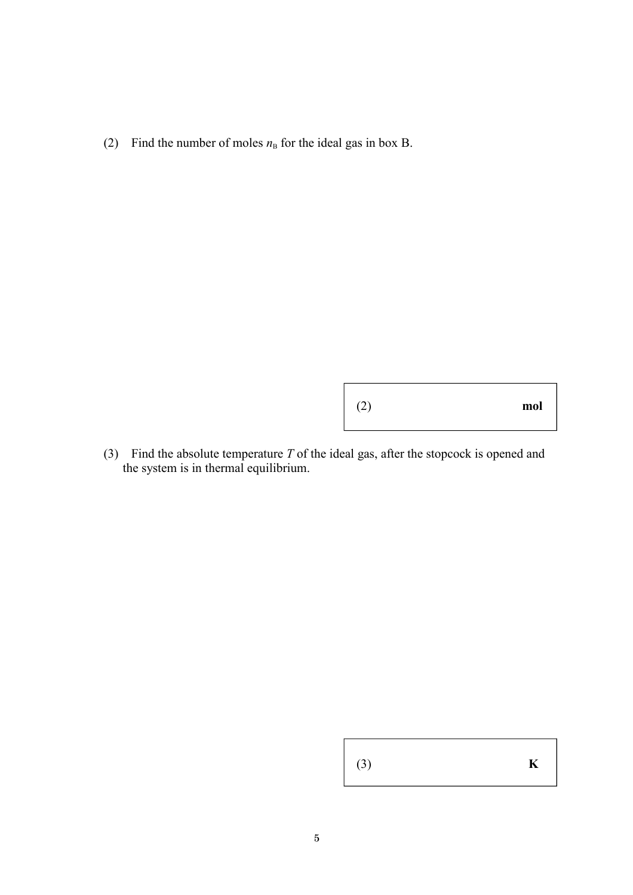(2) Find the number of moles  $n<sub>B</sub>$  for the ideal gas in box B.

(2) **mol**

(3) Find the absolute temperature *T* of the ideal gas, after the stopcock is opened and the system is in thermal equilibrium.

(3) **K**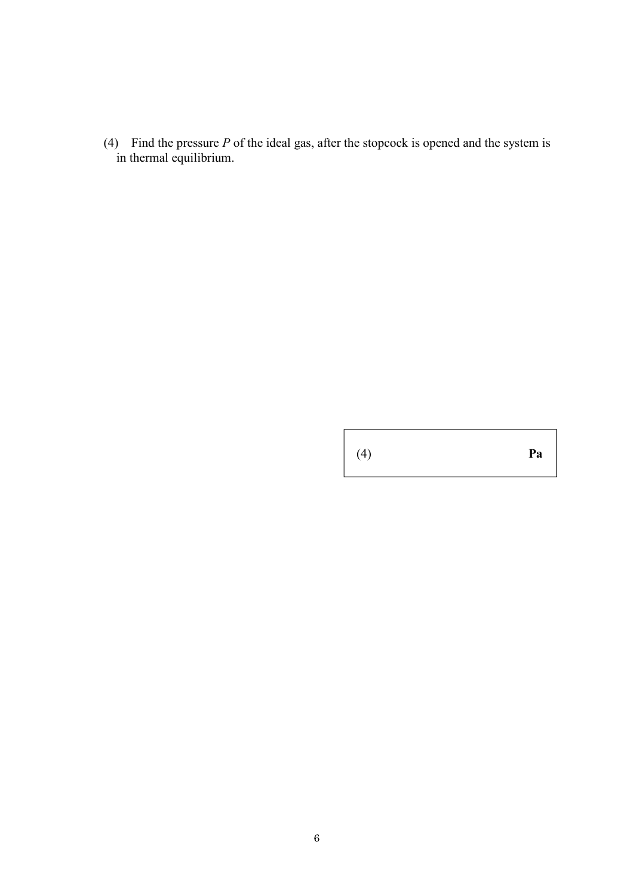(4) Find the pressure *P* of the ideal gas, after the stopcock is opened and the system is in thermal equilibrium.

(4) **Pa**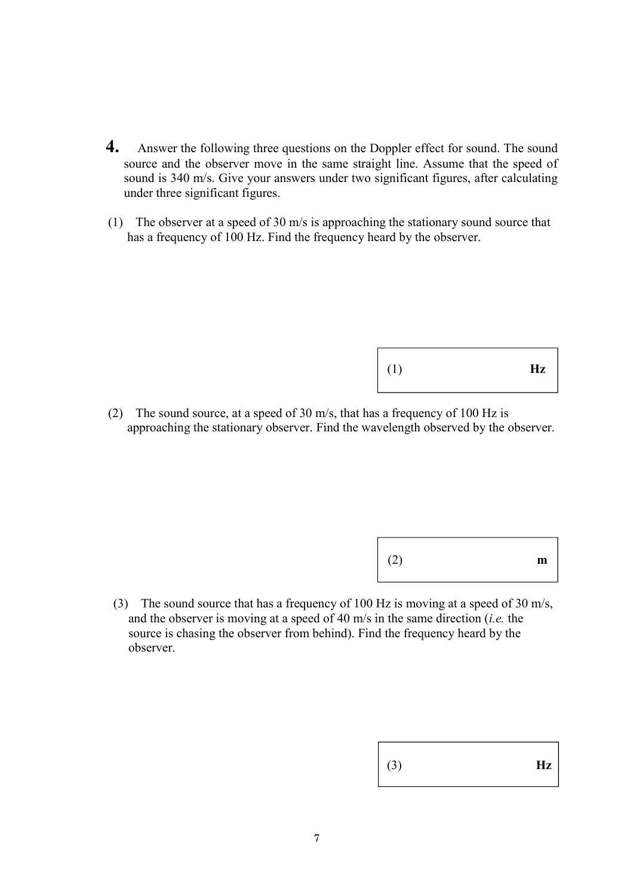- **4.** Answer the following three questions on the Doppler effect for sound. The sound source and the observer move in the same straight line. Assume that the speed of sound is 340 m/s. Give your answers under two significant figures, after calculating under three significant figures.
- (1) The observer at a speed of 30 m/s is approaching the stationary sound source that has a frequency of 100 Hz. Find the frequency heard by the observer.

(1) **Hz**

(2) The sound source, at a speed of 30 m/s, that has a frequency of 100 Hz is approaching the stationary observer. Find the wavelength observed by the observer.

(3) The sound source that has a frequency of 100 Hz is moving at a speed of 30 m/s, and the observer is moving at a speed of 40 m/s in the same direction (*i.e.* the source is chasing the observer from behind). Find the frequency heard by the observer.

| (3) |  |  | $\mathbf{Hz}$ |
|-----|--|--|---------------|
|-----|--|--|---------------|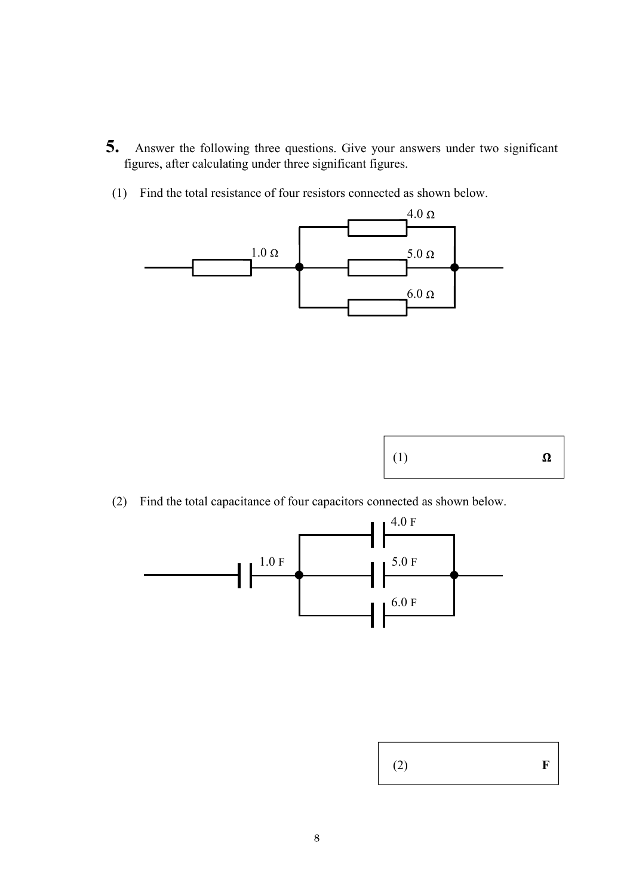- **5.** Answer the following three questions. Give your answers under two significant figures, after calculating under three significant figures.
- (1) Find the total resistance of four resistors connected as shown below.





(2) Find the total capacitance of four capacitors connected as shown below.



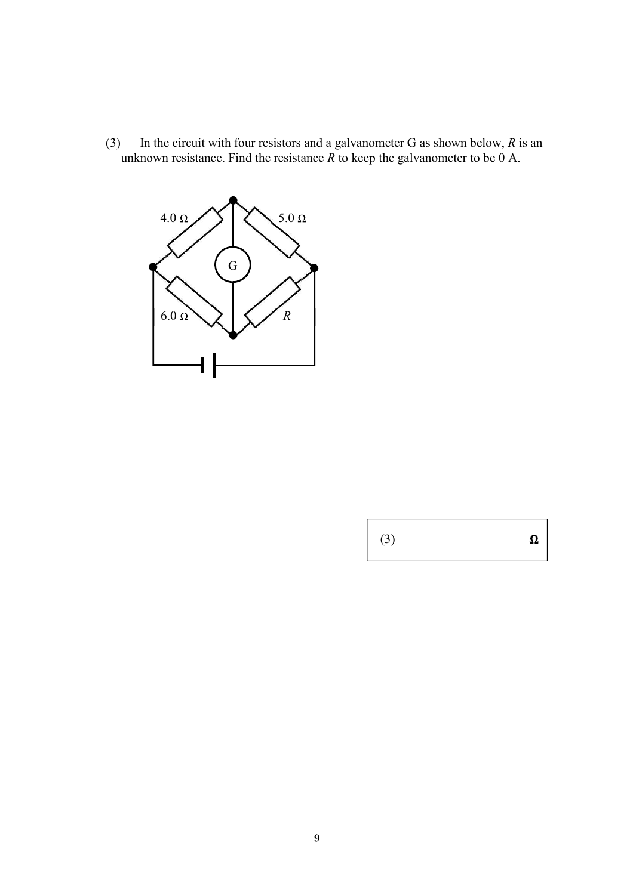(3) In the circuit with four resistors and a galvanometer G as shown below, *R* is an unknown resistance. Find the resistance  $\overline{R}$  to keep the galvanometer to be  $\overline{0}$  A.



 $\pmb{\Omega}$  $\vert$  (3)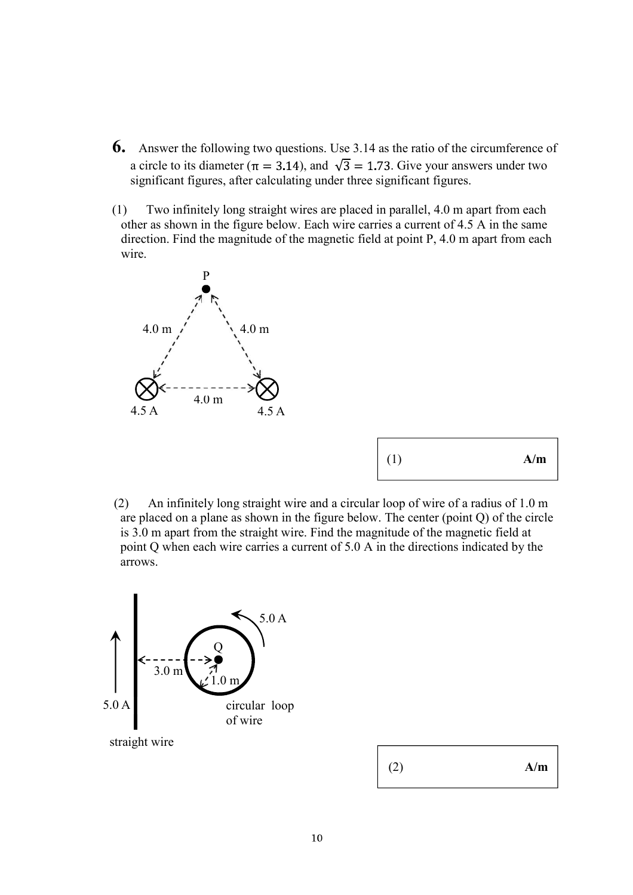- **6.** Answer the following two questions. Use 3.14 as the ratio of the circumference of a circle to its diameter ( $\pi = 3.14$ ), and  $\sqrt{3} = 1.73$ . Give your answers under two significant figures, after calculating under three significant figures.
- (1) Two infinitely long straight wires are placed in parallel, 4.0 m apart from each other as shown in the figure below. Each wire carries a current of 4.5 A in the same direction. Find the magnitude of the magnetic field at point P, 4.0 m apart from each wire.



| $\mid$ (1)<br>A/m |
|-------------------|
|                   |

 (2) An infinitely long straight wire and a circular loop of wire of a radius of 1.0 m are placed on a plane as shown in the figure below. The center (point Q) of the circle is 3.0 m apart from the straight wire. Find the magnitude of the magnetic field at point Q when each wire carries a current of 5.0 A in the directions indicated by the arrows.



| - | $\mid$ (2)<br>A/m |  |
|---|-------------------|--|
|---|-------------------|--|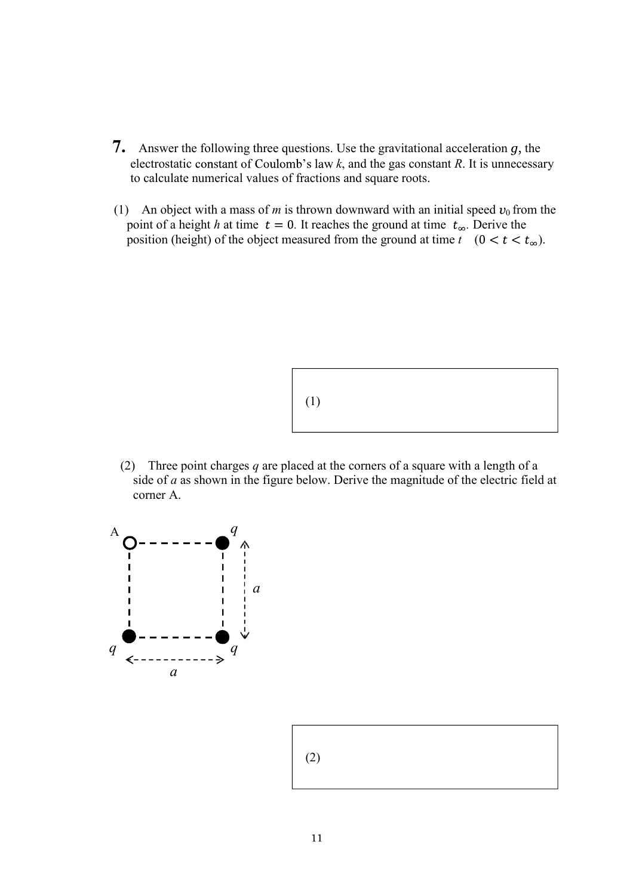- **7.** Answer the following three questions. Use the gravitational acceleration  $g$ , the electrostatic constant of Coulomb's law  $k$ , and the gas constant  $R$ . It is unnecessary to calculate numerical values of fractions and square roots.
- (1) An object with a mass of *m* is thrown downward with an initial speed  $v_0$  from the point of a height *h* at time  $t = 0$ . It reaches the ground at time  $t_{\infty}$ . Derive the position (height) of the object measured from the ground at time  $t \ (0 \lt t \lt t_{\infty})$ .



(2) Three point charges *q* are placed at the corners of a square with a length of a side of *a* as shown in the figure below. Derive the magnitude of the electric field at corner A.